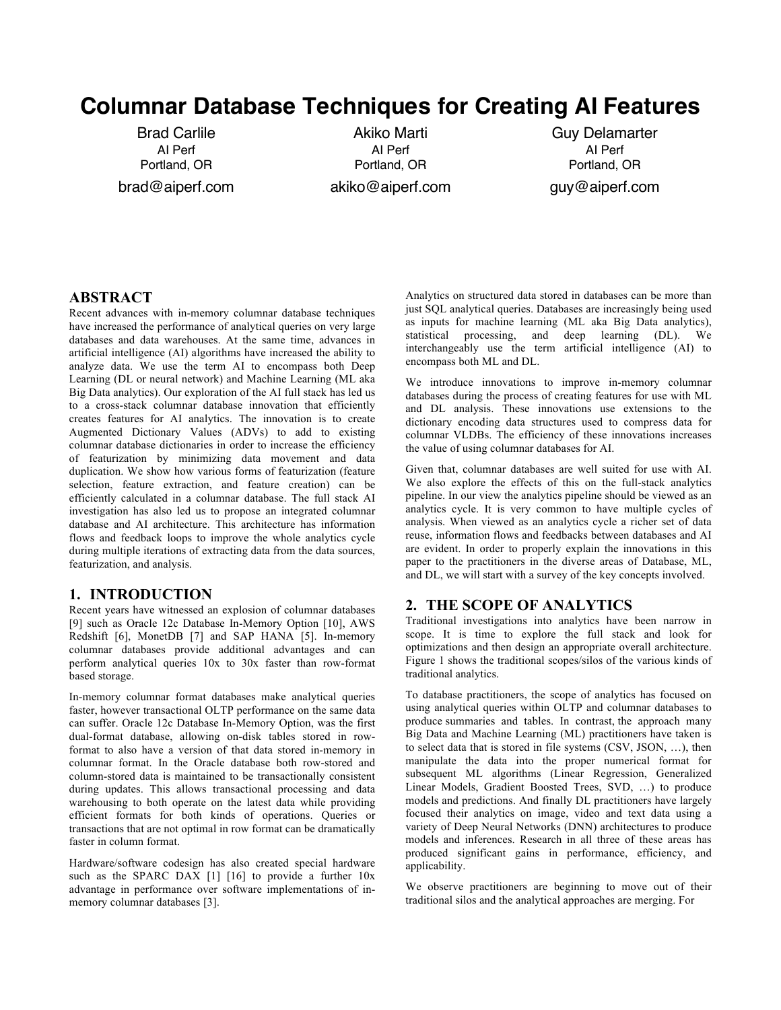# **Columnar Database Techniques for Creating AI Features**

Brad Carlile AI Perf Portland, OR brad@aiperf.com

Akiko Marti AI Perf Portland, OR akiko@aiperf.com

Guy Delamarter AI Perf Portland, OR guy@aiperf.com

## **ABSTRACT**

Recent advances with in-memory columnar database techniques have increased the performance of analytical queries on very large databases and data warehouses. At the same time, advances in artificial intelligence (AI) algorithms have increased the ability to analyze data. We use the term AI to encompass both Deep Learning (DL or neural network) and Machine Learning (ML aka Big Data analytics). Our exploration of the AI full stack has led us to a cross-stack columnar database innovation that efficiently creates features for AI analytics. The innovation is to create Augmented Dictionary Values (ADVs) to add to existing columnar database dictionaries in order to increase the efficiency of featurization by minimizing data movement and data duplication. We show how various forms of featurization (feature selection, feature extraction, and feature creation) can be efficiently calculated in a columnar database. The full stack AI investigation has also led us to propose an integrated columnar database and AI architecture. This architecture has information flows and feedback loops to improve the whole analytics cycle during multiple iterations of extracting data from the data sources, featurization, and analysis.

## **1. INTRODUCTION**

Recent years have witnessed an explosion of columnar databases [9] such as Oracle 12c Database In-Memory Option [10], AWS Redshift [6], MonetDB [7] and SAP HANA [5]. In-memory columnar databases provide additional advantages and can perform analytical queries 10x to 30x faster than row-format based storage.

In-memory columnar format databases make analytical queries faster, however transactional OLTP performance on the same data can suffer. Oracle 12c Database In-Memory Option, was the first dual-format database, allowing on-disk tables stored in rowformat to also have a version of that data stored in-memory in columnar format. In the Oracle database both row-stored and column-stored data is maintained to be transactionally consistent during updates. This allows transactional processing and data warehousing to both operate on the latest data while providing efficient formats for both kinds of operations. Queries or transactions that are not optimal in row format can be dramatically faster in column format.

Hardware/software codesign has also created special hardware such as the SPARC DAX [1] [16] to provide a further  $10x$ advantage in performance over software implementations of inmemory columnar databases [3].

Analytics on structured data stored in databases can be more than just SQL analytical queries. Databases are increasingly being used as inputs for machine learning (ML aka Big Data analytics), statistical processing, and deep learning (DL). We interchangeably use the term artificial intelligence (AI) to encompass both ML and DL.

We introduce innovations to improve in-memory columnar databases during the process of creating features for use with ML and DL analysis. These innovations use extensions to the dictionary encoding data structures used to compress data for columnar VLDBs. The efficiency of these innovations increases the value of using columnar databases for AI.

Given that, columnar databases are well suited for use with AI. We also explore the effects of this on the full-stack analytics pipeline. In our view the analytics pipeline should be viewed as an analytics cycle. It is very common to have multiple cycles of analysis. When viewed as an analytics cycle a richer set of data reuse, information flows and feedbacks between databases and AI are evident. In order to properly explain the innovations in this paper to the practitioners in the diverse areas of Database, ML, and DL, we will start with a survey of the key concepts involved.

# **2. THE SCOPE OF ANALYTICS**

Traditional investigations into analytics have been narrow in scope. It is time to explore the full stack and look for optimizations and then design an appropriate overall architecture. Figure 1 shows the traditional scopes/silos of the various kinds of traditional analytics.

To database practitioners, the scope of analytics has focused on using analytical queries within OLTP and columnar databases to produce summaries and tables. In contrast, the approach many Big Data and Machine Learning (ML) practitioners have taken is to select data that is stored in file systems (CSV, JSON, …), then manipulate the data into the proper numerical format for subsequent ML algorithms (Linear Regression, Generalized Linear Models, Gradient Boosted Trees, SVD, …) to produce models and predictions. And finally DL practitioners have largely focused their analytics on image, video and text data using a variety of Deep Neural Networks (DNN) architectures to produce models and inferences. Research in all three of these areas has produced significant gains in performance, efficiency, and applicability.

We observe practitioners are beginning to move out of their traditional silos and the analytical approaches are merging. For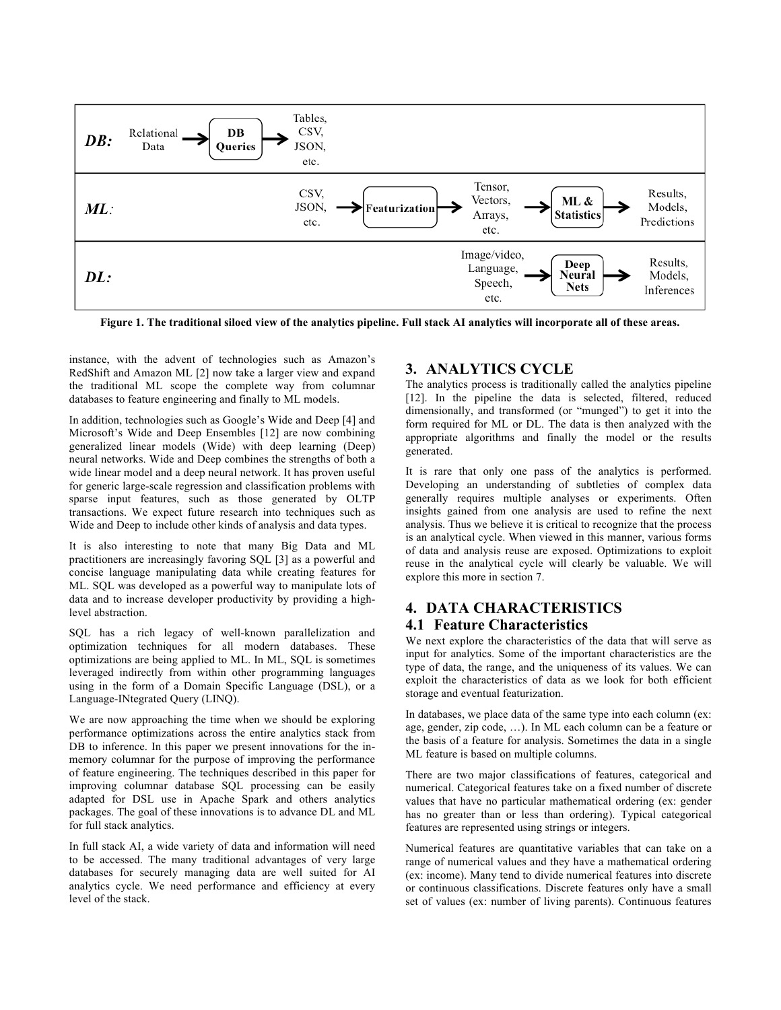

**Figure 1. The traditional siloed view of the analytics pipeline. Full stack AI analytics will incorporate all of these areas.**

instance, with the advent of technologies such as Amazon's RedShift and Amazon ML [2] now take a larger view and expand the traditional ML scope the complete way from columnar databases to feature engineering and finally to ML models.

In addition, technologies such as Google's Wide and Deep [4] and Microsoft's Wide and Deep Ensembles [12] are now combining generalized linear models (Wide) with deep learning (Deep) neural networks. Wide and Deep combines the strengths of both a wide linear model and a deep neural network. It has proven useful for generic large-scale regression and classification problems with sparse input features, such as those generated by OLTP transactions. We expect future research into techniques such as Wide and Deep to include other kinds of analysis and data types.

It is also interesting to note that many Big Data and ML practitioners are increasingly favoring SQL [3] as a powerful and concise language manipulating data while creating features for ML. SQL was developed as a powerful way to manipulate lots of data and to increase developer productivity by providing a highlevel abstraction.

SQL has a rich legacy of well-known parallelization and optimization techniques for all modern databases. These optimizations are being applied to ML. In ML, SQL is sometimes leveraged indirectly from within other programming languages using in the form of a Domain Specific Language (DSL), or a Language-INtegrated Query (LINQ).

We are now approaching the time when we should be exploring performance optimizations across the entire analytics stack from DB to inference. In this paper we present innovations for the inmemory columnar for the purpose of improving the performance of feature engineering. The techniques described in this paper for improving columnar database SQL processing can be easily adapted for DSL use in Apache Spark and others analytics packages. The goal of these innovations is to advance DL and ML for full stack analytics.

In full stack AI, a wide variety of data and information will need to be accessed. The many traditional advantages of very large databases for securely managing data are well suited for AI analytics cycle. We need performance and efficiency at every level of the stack.

# **3. ANALYTICS CYCLE**

The analytics process is traditionally called the analytics pipeline [12]. In the pipeline the data is selected, filtered, reduced dimensionally, and transformed (or "munged") to get it into the form required for ML or DL. The data is then analyzed with the appropriate algorithms and finally the model or the results generated.

It is rare that only one pass of the analytics is performed. Developing an understanding of subtleties of complex data generally requires multiple analyses or experiments. Often insights gained from one analysis are used to refine the next analysis. Thus we believe it is critical to recognize that the process is an analytical cycle. When viewed in this manner, various forms of data and analysis reuse are exposed. Optimizations to exploit reuse in the analytical cycle will clearly be valuable. We will explore this more in section 7.

# **4. DATA CHARACTERISTICS**

# **4.1 Feature Characteristics**

We next explore the characteristics of the data that will serve as input for analytics. Some of the important characteristics are the type of data, the range, and the uniqueness of its values. We can exploit the characteristics of data as we look for both efficient storage and eventual featurization.

In databases, we place data of the same type into each column (ex: age, gender, zip code, …). In ML each column can be a feature or the basis of a feature for analysis. Sometimes the data in a single ML feature is based on multiple columns.

There are two major classifications of features, categorical and numerical. Categorical features take on a fixed number of discrete values that have no particular mathematical ordering (ex: gender has no greater than or less than ordering). Typical categorical features are represented using strings or integers.

Numerical features are quantitative variables that can take on a range of numerical values and they have a mathematical ordering (ex: income). Many tend to divide numerical features into discrete or continuous classifications. Discrete features only have a small set of values (ex: number of living parents). Continuous features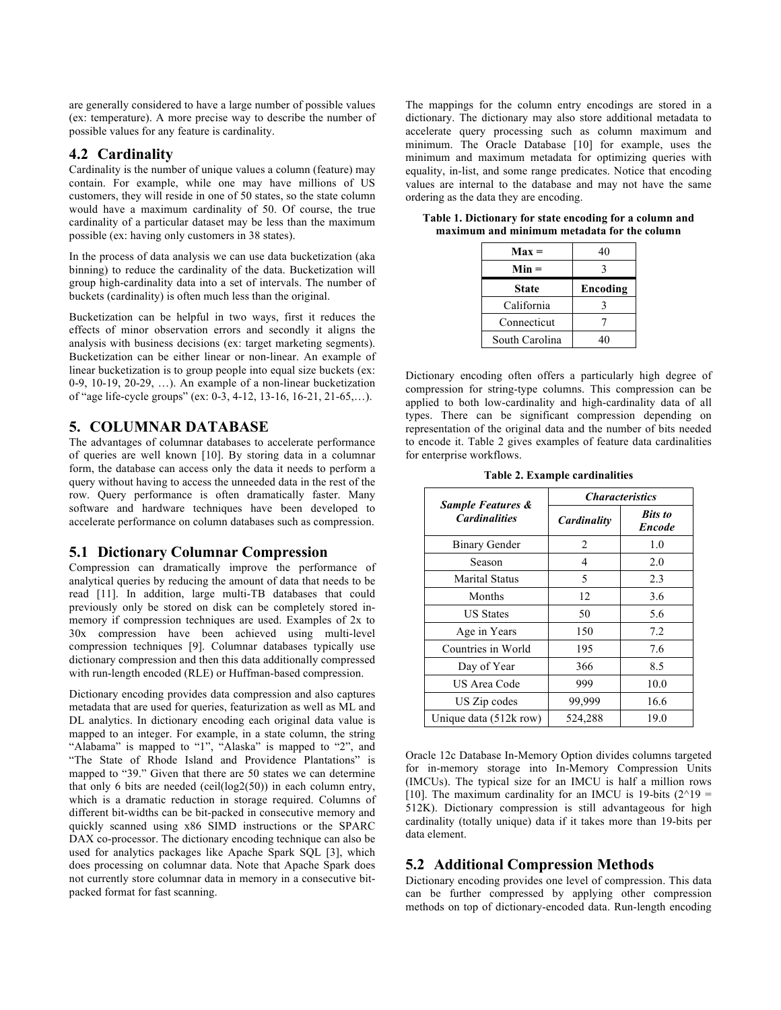are generally considered to have a large number of possible values (ex: temperature). A more precise way to describe the number of possible values for any feature is cardinality.

## **4.2 Cardinality**

Cardinality is the number of unique values a column (feature) may contain. For example, while one may have millions of US customers, they will reside in one of 50 states, so the state column would have a maximum cardinality of 50. Of course, the true cardinality of a particular dataset may be less than the maximum possible (ex: having only customers in 38 states).

In the process of data analysis we can use data bucketization (aka binning) to reduce the cardinality of the data. Bucketization will group high-cardinality data into a set of intervals. The number of buckets (cardinality) is often much less than the original.

Bucketization can be helpful in two ways, first it reduces the effects of minor observation errors and secondly it aligns the analysis with business decisions (ex: target marketing segments). Bucketization can be either linear or non-linear. An example of linear bucketization is to group people into equal size buckets (ex: 0-9, 10-19, 20-29, …). An example of a non-linear bucketization of "age life-cycle groups" (ex: 0-3, 4-12, 13-16, 16-21, 21-65,…).

#### **5. COLUMNAR DATABASE**

The advantages of columnar databases to accelerate performance of queries are well known [10]. By storing data in a columnar form, the database can access only the data it needs to perform a query without having to access the unneeded data in the rest of the row. Query performance is often dramatically faster. Many software and hardware techniques have been developed to accelerate performance on column databases such as compression.

#### **5.1 Dictionary Columnar Compression**

Compression can dramatically improve the performance of analytical queries by reducing the amount of data that needs to be read [11]. In addition, large multi-TB databases that could previously only be stored on disk can be completely stored inmemory if compression techniques are used. Examples of 2x to 30x compression have been achieved using multi-level compression techniques [9]. Columnar databases typically use dictionary compression and then this data additionally compressed with run-length encoded (RLE) or Huffman-based compression.

Dictionary encoding provides data compression and also captures metadata that are used for queries, featurization as well as ML and DL analytics. In dictionary encoding each original data value is mapped to an integer. For example, in a state column, the string "Alabama" is mapped to "1", "Alaska" is mapped to "2", and "The State of Rhode Island and Providence Plantations" is mapped to "39." Given that there are 50 states we can determine that only 6 bits are needed (ceil(log2(50)) in each column entry, which is a dramatic reduction in storage required. Columns of different bit-widths can be bit-packed in consecutive memory and quickly scanned using x86 SIMD instructions or the SPARC DAX co-processor. The dictionary encoding technique can also be used for analytics packages like Apache Spark SQL [3], which does processing on columnar data. Note that Apache Spark does not currently store columnar data in memory in a consecutive bitpacked format for fast scanning.

The mappings for the column entry encodings are stored in a dictionary. The dictionary may also store additional metadata to accelerate query processing such as column maximum and minimum. The Oracle Database [10] for example, uses the minimum and maximum metadata for optimizing queries with equality, in-list, and some range predicates. Notice that encoding values are internal to the database and may not have the same ordering as the data they are encoding.

| $Max =$        | 40       |
|----------------|----------|
| $Min =$        |          |
| <b>State</b>   | Encoding |
| California     |          |
| Connecticut    |          |
| South Carolina | 4Λ       |

**Table 1. Dictionary for state encoding for a column and maximum and minimum metadata for the column**

Dictionary encoding often offers a particularly high degree of compression for string-type columns. This compression can be applied to both low-cardinality and high-cardinality data of all types. There can be significant compression depending on representation of the original data and the number of bits needed to encode it. Table 2 gives examples of feature data cardinalities for enterprise workflows.

**Table 2. Example cardinalities**

|                                                      | <i><b>Characteristics</b></i> |                                 |  |  |
|------------------------------------------------------|-------------------------------|---------------------------------|--|--|
| <b>Sample Features &amp;</b><br><b>Cardinalities</b> | Cardinality                   | <b>Bits</b> to<br><b>Encode</b> |  |  |
| <b>Binary Gender</b>                                 | $\overline{c}$                | 1.0                             |  |  |
| Season                                               | 4                             | 2.0                             |  |  |
| <b>Marital Status</b>                                | 5                             | 2.3                             |  |  |
| Months                                               | 12                            | 3.6                             |  |  |
| <b>US States</b>                                     | 50                            | 5.6                             |  |  |
| Age in Years                                         | 150                           | 7.2                             |  |  |
| Countries in World                                   | 195                           | 7.6                             |  |  |
| Day of Year                                          | 366                           | 8.5                             |  |  |
| US Area Code                                         | 999                           | 10.0                            |  |  |
| US Zip codes                                         | 99,999                        | 16.6                            |  |  |
| Unique data (512k row)                               | 524,288                       | 19.0                            |  |  |

Oracle 12c Database In-Memory Option divides columns targeted for in-memory storage into In-Memory Compression Units (IMCUs). The typical size for an IMCU is half a million rows [10]. The maximum cardinality for an IMCU is 19-bits  $(2^{\wedge}19 =$ 512K). Dictionary compression is still advantageous for high cardinality (totally unique) data if it takes more than 19-bits per data element.

## **5.2 Additional Compression Methods**

Dictionary encoding provides one level of compression. This data can be further compressed by applying other compression methods on top of dictionary-encoded data. Run-length encoding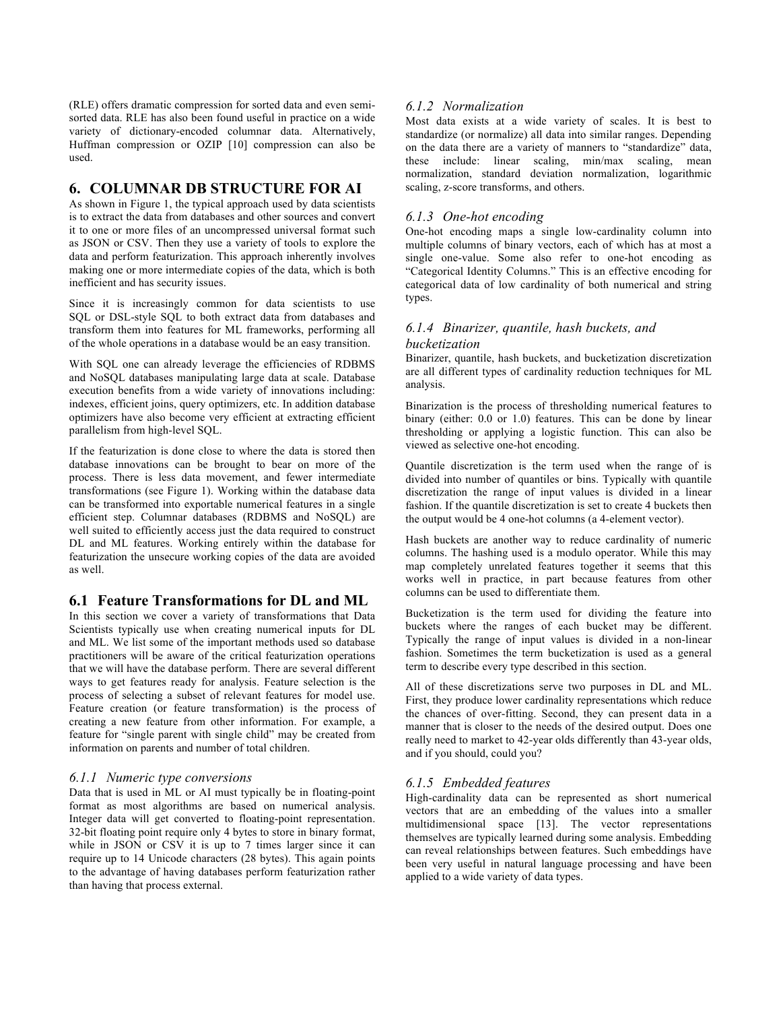(RLE) offers dramatic compression for sorted data and even semisorted data. RLE has also been found useful in practice on a wide variety of dictionary-encoded columnar data. Alternatively, Huffman compression or OZIP [10] compression can also be used.

# **6. COLUMNAR DB STRUCTURE FOR AI**

As shown in Figure 1, the typical approach used by data scientists is to extract the data from databases and other sources and convert it to one or more files of an uncompressed universal format such as JSON or CSV. Then they use a variety of tools to explore the data and perform featurization. This approach inherently involves making one or more intermediate copies of the data, which is both inefficient and has security issues.

Since it is increasingly common for data scientists to use SQL or DSL-style SQL to both extract data from databases and transform them into features for ML frameworks, performing all of the whole operations in a database would be an easy transition.

With SQL one can already leverage the efficiencies of RDBMS and NoSQL databases manipulating large data at scale. Database execution benefits from a wide variety of innovations including: indexes, efficient joins, query optimizers, etc. In addition database optimizers have also become very efficient at extracting efficient parallelism from high-level SQL.

If the featurization is done close to where the data is stored then database innovations can be brought to bear on more of the process. There is less data movement, and fewer intermediate transformations (see Figure 1). Working within the database data can be transformed into exportable numerical features in a single efficient step. Columnar databases (RDBMS and NoSQL) are well suited to efficiently access just the data required to construct DL and ML features. Working entirely within the database for featurization the unsecure working copies of the data are avoided as well.

## **6.1 Feature Transformations for DL and ML**

In this section we cover a variety of transformations that Data Scientists typically use when creating numerical inputs for DL and ML. We list some of the important methods used so database practitioners will be aware of the critical featurization operations that we will have the database perform. There are several different ways to get features ready for analysis. Feature selection is the process of selecting a subset of relevant features for model use. Feature creation (or feature transformation) is the process of creating a new feature from other information. For example, a feature for "single parent with single child" may be created from information on parents and number of total children.

#### *6.1.1 Numeric type conversions*

Data that is used in ML or AI must typically be in floating-point format as most algorithms are based on numerical analysis. Integer data will get converted to floating-point representation. 32-bit floating point require only 4 bytes to store in binary format, while in JSON or CSV it is up to 7 times larger since it can require up to 14 Unicode characters (28 bytes). This again points to the advantage of having databases perform featurization rather than having that process external.

## *6.1.2 Normalization*

Most data exists at a wide variety of scales. It is best to standardize (or normalize) all data into similar ranges. Depending on the data there are a variety of manners to "standardize" data, these include: linear scaling, min/max scaling, mean normalization, standard deviation normalization, logarithmic scaling, z-score transforms, and others.

## *6.1.3 One-hot encoding*

One-hot encoding maps a single low-cardinality column into multiple columns of binary vectors, each of which has at most a single one-value. Some also refer to one-hot encoding as "Categorical Identity Columns." This is an effective encoding for categorical data of low cardinality of both numerical and string types.

## *6.1.4 Binarizer, quantile, hash buckets, and bucketization*

Binarizer, quantile, hash buckets, and bucketization discretization are all different types of cardinality reduction techniques for ML analysis.

Binarization is the process of thresholding numerical features to binary (either: 0.0 or 1.0) features. This can be done by linear thresholding or applying a logistic function. This can also be viewed as selective one-hot encoding.

Quantile discretization is the term used when the range of is divided into number of quantiles or bins. Typically with quantile discretization the range of input values is divided in a linear fashion. If the quantile discretization is set to create 4 buckets then the output would be 4 one-hot columns (a 4-element vector).

Hash buckets are another way to reduce cardinality of numeric columns. The hashing used is a modulo operator. While this may map completely unrelated features together it seems that this works well in practice, in part because features from other columns can be used to differentiate them.

Bucketization is the term used for dividing the feature into buckets where the ranges of each bucket may be different. Typically the range of input values is divided in a non-linear fashion. Sometimes the term bucketization is used as a general term to describe every type described in this section.

All of these discretizations serve two purposes in DL and ML. First, they produce lower cardinality representations which reduce the chances of over-fitting. Second, they can present data in a manner that is closer to the needs of the desired output. Does one really need to market to 42-year olds differently than 43-year olds, and if you should, could you?

## *6.1.5 Embedded features*

High-cardinality data can be represented as short numerical vectors that are an embedding of the values into a smaller multidimensional space [13]. The vector representations themselves are typically learned during some analysis. Embedding can reveal relationships between features. Such embeddings have been very useful in natural language processing and have been applied to a wide variety of data types.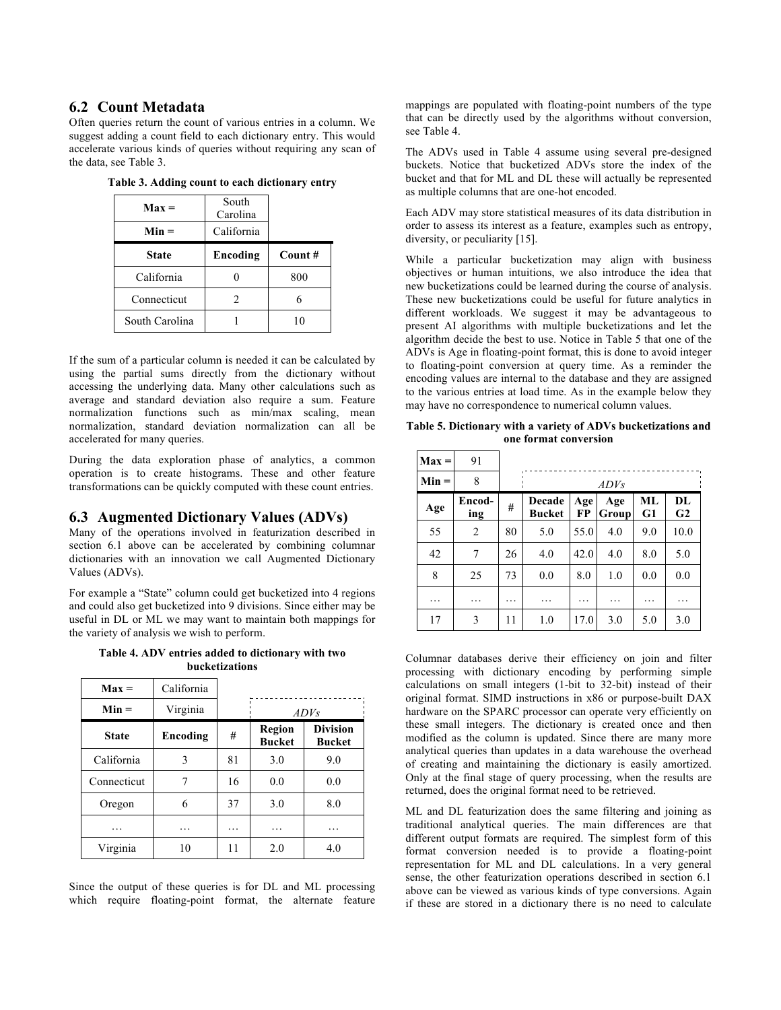## **6.2 Count Metadata**

Often queries return the count of various entries in a column. We suggest adding a count field to each dictionary entry. This would accelerate various kinds of queries without requiring any scan of the data, see Table 3.

| $Max =$<br>$Min =$ | South<br>Carolina<br>California |        |
|--------------------|---------------------------------|--------|
| <b>State</b>       | Encoding                        | Count# |
| California         |                                 | 800    |
| Connecticut        | 2                               | 6      |
| South Carolina     |                                 | 10     |

**Table 3. Adding count to each dictionary entry**

If the sum of a particular column is needed it can be calculated by using the partial sums directly from the dictionary without accessing the underlying data. Many other calculations such as average and standard deviation also require a sum. Feature normalization functions such as min/max scaling, mean normalization, standard deviation normalization can all be accelerated for many queries.

During the data exploration phase of analytics, a common operation is to create histograms. These and other feature transformations can be quickly computed with these count entries.

#### **6.3 Augmented Dictionary Values (ADVs)**

Many of the operations involved in featurization described in section 6.1 above can be accelerated by combining columnar dictionaries with an innovation we call Augmented Dictionary Values (ADVs).

For example a "State" column could get bucketized into 4 regions and could also get bucketized into 9 divisions. Since either may be useful in DL or ML we may want to maintain both mappings for the variety of analysis we wish to perform.

**Table 4. ADV entries added to dictionary with two bucketizations**

| $Max =$      | California |    |                         |                                  |  |
|--------------|------------|----|-------------------------|----------------------------------|--|
| $Min =$      | Virginia   |    | ADVs                    |                                  |  |
| <b>State</b> | Encoding   | #  | Region<br><b>Bucket</b> | <b>Division</b><br><b>Bucket</b> |  |
| California   | 3          | 81 | 3.0                     | 9.0                              |  |
| Connecticut  |            | 16 | 0.0                     | 0.0                              |  |
| Oregon       | 6          | 37 | 3.0                     | 8.0                              |  |
| .            | .          | .  | .                       | .                                |  |
| Virginia     | 10         | 11 | 2.0                     | 4.0                              |  |

Since the output of these queries is for DL and ML processing which require floating-point format, the alternate feature mappings are populated with floating-point numbers of the type that can be directly used by the algorithms without conversion, see Table 4.

The ADVs used in Table 4 assume using several pre-designed buckets. Notice that bucketized ADVs store the index of the bucket and that for ML and DL these will actually be represented as multiple columns that are one-hot encoded.

Each ADV may store statistical measures of its data distribution in order to assess its interest as a feature, examples such as entropy, diversity, or peculiarity [15].

While a particular bucketization may align with business objectives or human intuitions, we also introduce the idea that new bucketizations could be learned during the course of analysis. These new bucketizations could be useful for future analytics in different workloads. We suggest it may be advantageous to present AI algorithms with multiple bucketizations and let the algorithm decide the best to use. Notice in Table 5 that one of the ADVs is Age in floating-point format, this is done to avoid integer to floating-point conversion at query time. As a reminder the encoding values are internal to the database and they are assigned to the various entries at load time. As in the example below they may have no correspondence to numerical column values.

**Table 5. Dictionary with a variety of ADVs bucketizations and one format conversion**

| $Max =$ | 91            |    |                         |           |              |          |          |
|---------|---------------|----|-------------------------|-----------|--------------|----------|----------|
| $Min =$ | 8             |    | ADVs                    |           |              |          |          |
| Age     | Encod-<br>ing | #  | Decade<br><b>Bucket</b> | Age<br>FP | Age<br>Group | МL<br>G1 | DL<br>G2 |
| 55      | 2             | 80 | 5.0                     | 55.0      | 4.0          | 9.0      | 10.0     |
| 42      | 7             | 26 | 4.0                     | 42.0      | 4.0          | 8.0      | 5.0      |
| 8       | 25            | 73 | 0.0                     | 8.0       | 1.0          | 0.0      | 0.0      |
| .       | .             | .  | .                       | .         | .            | .        | .        |
| 17      | 3             | 11 | 1.0                     | 17.0      | 3.0          | 5.0      | 3.0      |

Columnar databases derive their efficiency on join and filter processing with dictionary encoding by performing simple calculations on small integers (1-bit to 32-bit) instead of their original format. SIMD instructions in x86 or purpose-built DAX hardware on the SPARC processor can operate very efficiently on these small integers. The dictionary is created once and then modified as the column is updated. Since there are many more analytical queries than updates in a data warehouse the overhead of creating and maintaining the dictionary is easily amortized. Only at the final stage of query processing, when the results are returned, does the original format need to be retrieved.

ML and DL featurization does the same filtering and joining as traditional analytical queries. The main differences are that different output formats are required. The simplest form of this format conversion needed is to provide a floating-point representation for ML and DL calculations. In a very general sense, the other featurization operations described in section 6.1 above can be viewed as various kinds of type conversions. Again if these are stored in a dictionary there is no need to calculate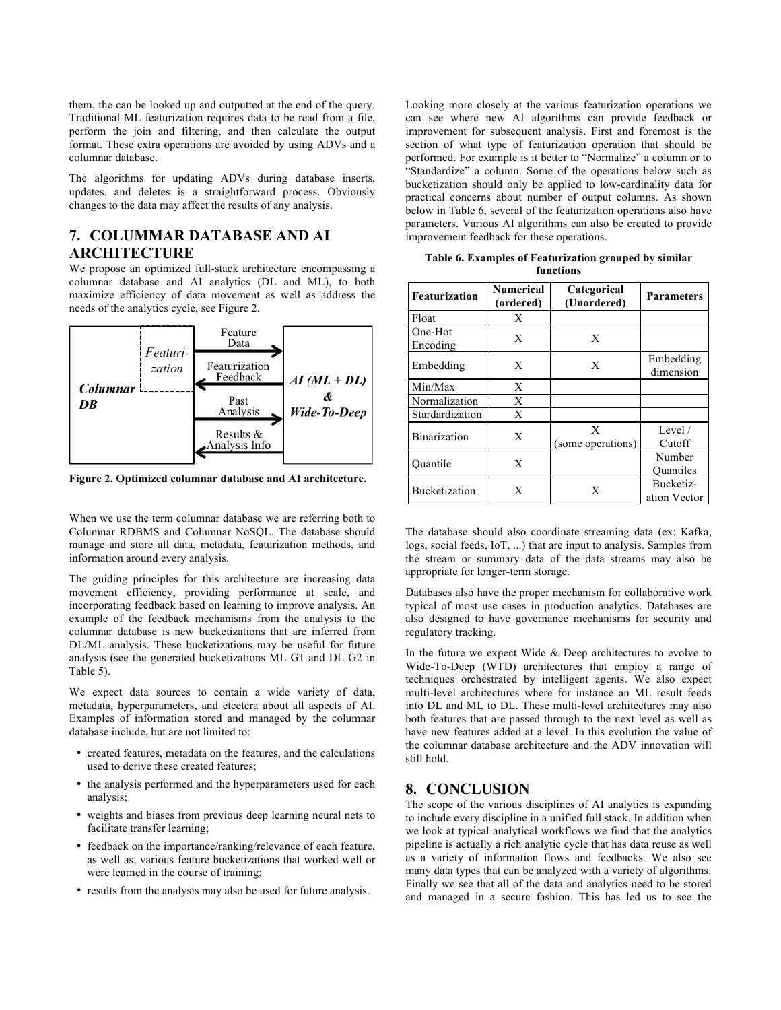them, the can be looked up and outputted at the end of the query. Traditional ML featurization requires data to be read from a file, perform the join and filtering, and then calculate the output format. These extra operations are avoided by using ADVs and a columnar database.

The algorithms for updating ADVs during database inserts, updates, and deletes is a straightforward process. Obviously changes to the data may affect the results of any analysis.

## **7. COLUMMAR DATABASE AND AI ARCHITECTURE**

We propose an optimized full-stack architecture encompassing a columnar database and AI analytics (DL and ML), to both maximize efficiency of data movement as well as address the needs of the analytics cycle, see Figure 2.



**Figure 2. Optimized columnar database and AI architecture.**

When we use the term columnar database we are referring both to Columnar RDBMS and Columnar NoSQL. The database should manage and store all data, metadata, featurization methods, and information around every analysis.

The guiding principles for this architecture are increasing data movement efficiency, providing performance at scale, and incorporating feedback based on learning to improve analysis. An example of the feedback mechanisms from the analysis to the columnar database is new bucketizations that are inferred from DL/ML analysis. These bucketizations may be useful for future analysis (see the generated bucketizations ML G1 and DL G2 in Table 5).

We expect data sources to contain a wide variety of data, metadata, hyperparameters, and etcetera about all aspects of AI. Examples of information stored and managed by the columnar database include, but are not limited to:

- created features, metadata on the features, and the calculations used to derive these created features;
- the analysis performed and the hyperparameters used for each analysis;
- weights and biases from previous deep learning neural nets to facilitate transfer learning;
- feedback on the importance/ranking/relevance of each feature, as well as, various feature bucketizations that worked well or were learned in the course of training;
- results from the analysis may also be used for future analysis.

Looking more closely at the various featurization operations we can see where new AI algorithms can provide feedback or improvement for subsequent analysis. First and foremost is the section of what type of featurization operation that should be performed. For example is it better to "Normalize" a column or to "Standardize" a column. Some of the operations below such as bucketization should only be applied to low-cardinality data for practical concerns about number of output columns. As shown below in Table 6, several of the featurization operations also have parameters. Various AI algorithms can also be created to provide improvement feedback for these operations.

**Table 6. Examples of Featurization grouped by similar functions**

| <b>Featurization</b> | <b>Numerical</b><br>(ordered) | Categorical<br>(Unordered) | <b>Parameters</b>         |  |
|----------------------|-------------------------------|----------------------------|---------------------------|--|
| Float                | X                             |                            |                           |  |
| One-Hot<br>Encoding  | X                             | X                          |                           |  |
| Embedding            | X                             | X                          | Embedding<br>dimension    |  |
| Min/Max              | X                             |                            |                           |  |
| Normalization        | X                             |                            |                           |  |
| Stardardization      | X                             |                            |                           |  |
| <b>Binarization</b>  | X                             | X<br>(some operations)     | Level $/$<br>Cutoff       |  |
| Ouantile             | X                             |                            | Number<br>Quantiles       |  |
| <b>Bucketization</b> | X                             | X                          | Bucketiz-<br>ation Vector |  |

The database should also coordinate streaming data (ex: Kafka, logs, social feeds, IoT, ...) that are input to analysis. Samples from the stream or summary data of the data streams may also be appropriate for longer-term storage.

Databases also have the proper mechanism for collaborative work typical of most use cases in production analytics. Databases are also designed to have governance mechanisms for security and regulatory tracking.

In the future we expect Wide & Deep architectures to evolve to Wide-To-Deep (WTD) architectures that employ a range of techniques orchestrated by intelligent agents. We also expect multi-level architectures where for instance an ML result feeds into DL and ML to DL. These multi-level architectures may also both features that are passed through to the next level as well as have new features added at a level. In this evolution the value of the columnar database architecture and the ADV innovation will still hold.

# **8. CONCLUSION**

The scope of the various disciplines of AI analytics is expanding to include every discipline in a unified full stack. In addition when we look at typical analytical workflows we find that the analytics pipeline is actually a rich analytic cycle that has data reuse as well as a variety of information flows and feedbacks. We also see many data types that can be analyzed with a variety of algorithms. Finally we see that all of the data and analytics need to be stored and managed in a secure fashion. This has led us to see the